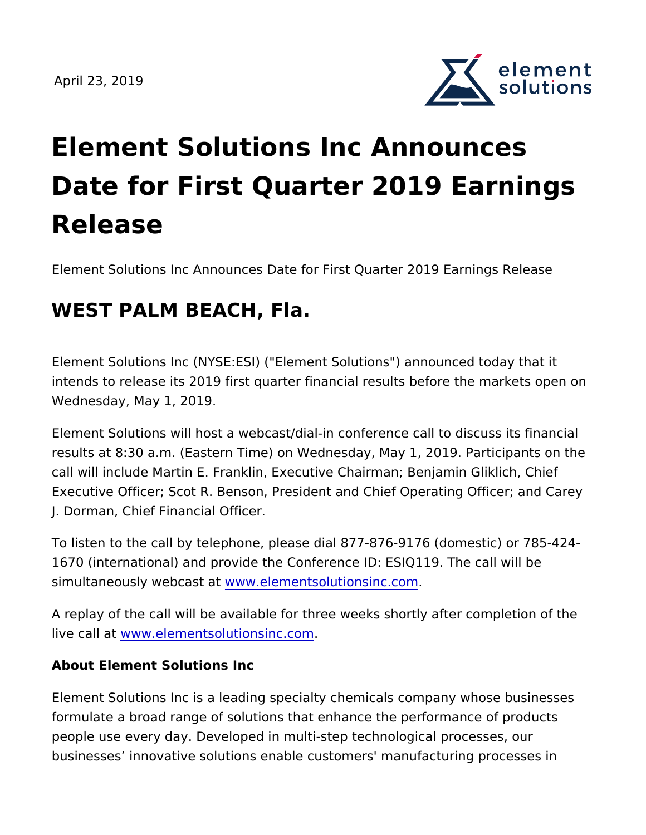

## Element Solutions Inc Announces Date for First Quarter 2019 Earn Release

Element Solutions Inc Announces Date for First Quarter 2019 Ear

## WEST PALM BEACH, Fla.

Element Solutions Inc (NYSE:ESI) ("Element Solutions") announce intends to release its 2019 first quarter financial results before t Wednesday, May 1, 2019.

Element Solutions will host a webcast/dial-in conference call to d results at 8:30 a.m. (Eastern Time) on Wednesday, May 1, 2019. I call will include Martin E. Franklin, Executive Chairman; Benjamin Executive Officer; Scot R. Benson, President and Chief Operating J. Dorman, Chief Financial Officer.

To listen to the call by telephone, please dial 877-876-9176 (dom 1670 (international) and provide the Conference ID: ESIQ119. The simultaneously webwaws t.atementsolutionsinc.com

A replay of the call will be available for three weeks shortly after live callwawtw.elementsolutionsinc.com

About Element Solutions Inc

Element Solutions Inc is a leading specialty chemicals company w formulate a broad range of solutions that enhance the performanc people use every day. Developed in multi-step technological proc businesses innovative solutions enable customers' manufacturing